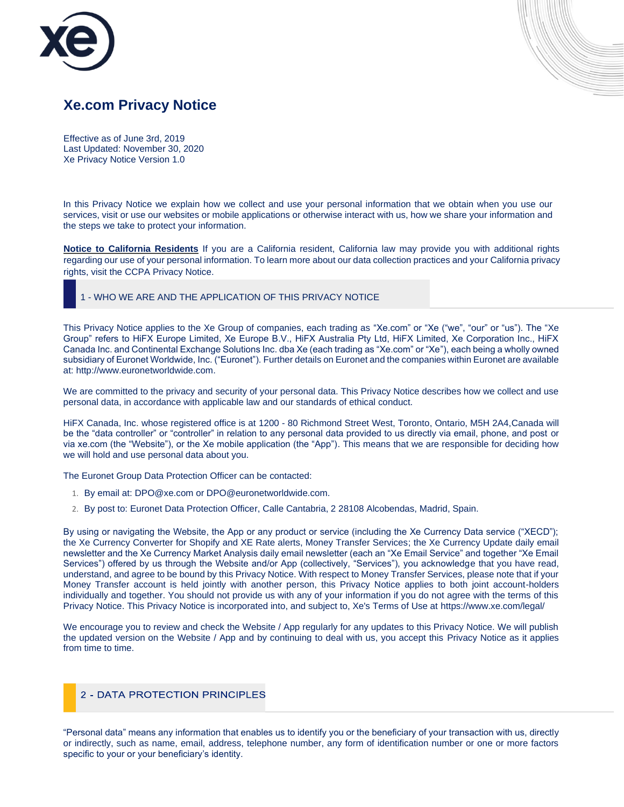



Effective as of June 3rd, 2019 Last Updated: November 30, 2020 Xe Privacy Notice Version 1.0

In this Privacy Notice we explain how we collect and use your personal information that we obtain when you use our services, visit or use our websites or mobile applications or otherwise interact with us, how we share your information and the steps we take to protect your information.

**Notice to California Residents** If you are a California resident, California law may provide you with additional rights regarding our use of your personal information. To learn more about our data collection practices and your California privacy rights, visit the [CCPA Privacy Notice.](https://www.xe.com/ccpa_policy.pdf)

### 1 - WHO WE ARE AND THE APPLICATION OF THIS PRIVACY NOTICE

This Privacy Notice applies to the Xe Group of companies, each trading as "Xe.com" or "Xe ("we", "our" or "us"). The "Xe Group" refers to HiFX Europe Limited, Xe Europe B.V., HiFX Australia Pty Ltd, HiFX Limited, Xe Corporation Inc., HiFX Canada Inc. and Continental Exchange Solutions Inc. dba Xe (each trading as "Xe.com" or "Xe"), each being a wholly owned subsidiary of Euronet Worldwide, Inc. ("Euronet"). Further details on Euronet and the companies within Euronet are available at[: http://www.euronetworldwide.com.](http://www.euronetworldwide.com/)

We are committed to the privacy and security of your personal data. This Privacy Notice describes how we collect and use personal data, in accordance with applicable law and our standards of ethical conduct.

HiFX Canada, Inc. whose registered office is at 1200 - 80 Richmond Street West, Toronto, Ontario, M5H 2A4,Canada will be the "data controller" or "controller" in relation to any personal data provided to us directly via email, phone, and post or via xe.com (the "Website"), or the Xe mobile application (the "App"). This means that we are responsible for deciding how we will hold and use personal data about you.

The Euronet Group Data Protection Officer can be contacted:

- 1. By email at: DPO@xe.com or DPO@euronetworldwide.com.
- 2. By post to: Euronet Data Protection Officer, Calle Cantabria, 2 28108 Alcobendas, Madrid, Spain.

By using or navigating the Website, the App or any product or service (including the Xe Currency Data service ("XECD"); the Xe Currency Converter for Shopify and XE Rate alerts, Money Transfer Services; the Xe Currency Update daily email newsletter and the Xe Currency Market Analysis daily email newsletter (each an "Xe Email Service" and together "Xe Email Services") offered by us through the Website and/or App (collectively, "Services"), you acknowledge that you have read, understand, and agree to be bound by this Privacy Notice. With respect to Money Transfer Services, please note that if your Money Transfer account is held jointly with another person, this Privacy Notice applies to both joint account-holders individually and together. You should not provide us with any of your information if you do not agree with the terms of this Privacy Notice. This Privacy Notice is incorporated into, and subject to, Xe's Terms of Use at<https://www.xe.com/legal/>

We encourage you to review and check the Website / App regularly for any updates to this Privacy Notice. We will publish the updated version on the Website / App and by continuing to deal with us, you accept this Privacy Notice as it applies from time to time.

## 2 - DATA PROTECTION PRINCIPLES

"Personal data" means any information that enables us to identify you or the beneficiary of your transaction with us, directly or indirectly, such as name, email, address, telephone number, any form of identification number or one or more factors specific to your or your beneficiary's identity.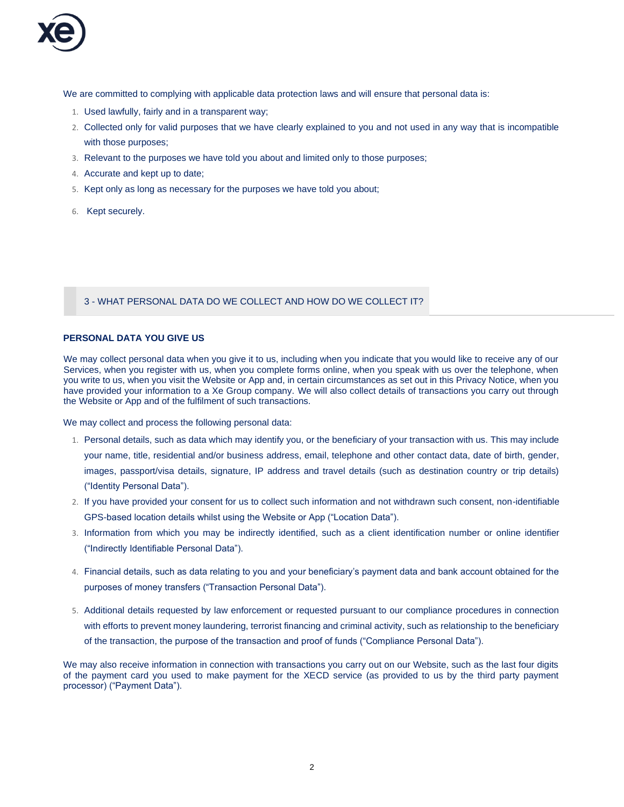

We are committed to complying with applicable data protection laws and will ensure that personal data is:

- 1. Used lawfully, fairly and in a transparent way;
- 2. Collected only for valid purposes that we have clearly explained to you and not used in any way that is incompatible with those purposes;
- 3. Relevant to the purposes we have told you about and limited only to those purposes;
- 4. Accurate and kept up to date;
- 5. Kept only as long as necessary for the purposes we have told you about;
- 6. Kept securely.

3 - WHAT PERSONAL DATA DO WE COLLECT AND HOW DO WE COLLECT IT?

## **PERSONAL DATA YOU GIVE US**

We may collect personal data when you give it to us, including when you indicate that you would like to receive any of our Services, when you register with us, when you complete forms online, when you speak with us over the telephone, when you write to us, when you visit the Website or App and, in certain circumstances as set out in this Privacy Notice, when you have provided your information to a Xe Group company. We will also collect details of transactions you carry out through the Website or App and of the fulfilment of such transactions.

We may collect and process the following personal data:

- 1. Personal details, such as data which may identify you, or the beneficiary of your transaction with us. This may include your name, title, residential and/or business address, email, telephone and other contact data, date of birth, gender, images, passport/visa details, signature, IP address and travel details (such as destination country or trip details) ("Identity Personal Data").
- 2. If you have provided your consent for us to collect such information and not withdrawn such consent, non-identifiable GPS-based location details whilst using the Website or App ("Location Data").
- 3. Information from which you may be indirectly identified, such as a client identification number or online identifier ("Indirectly Identifiable Personal Data").
- 4. Financial details, such as data relating to you and your beneficiary's payment data and bank account obtained for the purposes of money transfers ("Transaction Personal Data").
- 5. Additional details requested by law enforcement or requested pursuant to our compliance procedures in connection with efforts to prevent money laundering, terrorist financing and criminal activity, such as relationship to the beneficiary of the transaction, the purpose of the transaction and proof of funds ("Compliance Personal Data").

We may also receive information in connection with transactions you carry out on our Website, such as the last four digits of the payment card you used to make payment for the XECD service (as provided to us by the third party payment processor) ("Payment Data").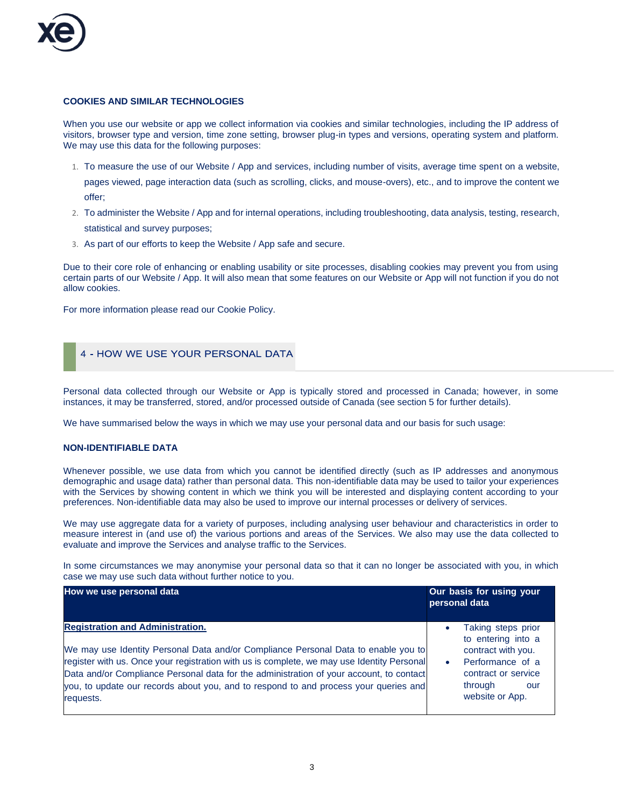

## **COOKIES AND SIMILAR TECHNOLOGIES**

When you use our website or app we collect information via cookies and similar technologies, including the IP address of visitors, browser type and version, time zone setting, browser plug-in types and versions, operating system and platform. We may use this data for the following purposes:

1. To measure the use of our Website / App and services, including number of visits, average time spent on a website,

pages viewed, page interaction data (such as scrolling, clicks, and mouse-overs), etc., and to improve the content we offer;

- 2. To administer the Website / App and for internal operations, including troubleshooting, data analysis, testing, research, statistical and survey purposes;
- 3. As part of our efforts to keep the Website / App safe and secure.

Due to their core role of enhancing or enabling usability or site processes, disabling cookies may prevent you from using certain parts of our Website / App. It will also mean that some features on our Website or App will not function if you do not allow cookies.

For more information please read our [Cookie Policy.](https://www.xe.com/cookiepolicy.php)

# 4 - HOW WE USE YOUR PERSONAL DATA

Personal data collected through our Website or App is typically stored and processed in Canada; however, in some instances, it may be transferred, stored, and/or processed outside of Canada (see section 5 for further details).

We have summarised below the ways in which we may use your personal data and our basis for such usage:

## **NON-IDENTIFIABLE DATA**

Whenever possible, we use data from which you cannot be identified directly (such as IP addresses and anonymous demographic and usage data) rather than personal data. This non-identifiable data may be used to tailor your experiences with the Services by showing content in which we think you will be interested and displaying content according to your preferences. Non-identifiable data may also be used to improve our internal processes or delivery of services.

We may use aggregate data for a variety of purposes, including analysing user behaviour and characteristics in order to measure interest in (and use of) the various portions and areas of the Services. We also may use the data collected to evaluate and improve the Services and analyse traffic to the Services.

In some circumstances we may anonymise your personal data so that it can no longer be associated with you, in which case we may use such data without further notice to you.

| How we use personal data                                                                                                                                                                                                                                                                                                                                                                                                    | Our basis for using your<br>personal data                                                                                                                                |
|-----------------------------------------------------------------------------------------------------------------------------------------------------------------------------------------------------------------------------------------------------------------------------------------------------------------------------------------------------------------------------------------------------------------------------|--------------------------------------------------------------------------------------------------------------------------------------------------------------------------|
| <b>Registration and Administration.</b><br>We may use Identity Personal Data and/or Compliance Personal Data to enable you to<br>register with us. Once your registration with us is complete, we may use Identity Personal<br>Data and/or Compliance Personal data for the administration of your account, to contact<br>you, to update our records about you, and to respond to and process your queries and<br>requests. | Taking steps prior<br>$\bullet$<br>to entering into a<br>contract with you.<br>Performance of a<br>$\bullet$<br>contract or service<br>through<br>our<br>website or App. |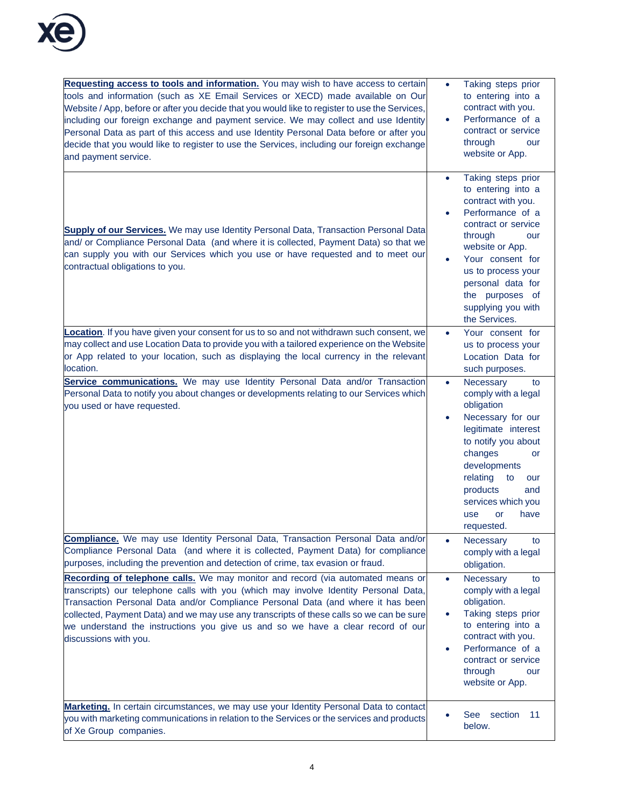

| Requesting access to tools and information. You may wish to have access to certain<br>tools and information (such as XE Email Services or XECD) made available on Our<br>Website / App, before or after you decide that you would like to register to use the Services,<br>including our foreign exchange and payment service. We may collect and use Identity<br>Personal Data as part of this access and use Identity Personal Data before or after you<br>decide that you would like to register to use the Services, including our foreign exchange<br>and payment service.                                                                                                                                                 | Taking steps prior<br>to entering into a<br>contract with you.<br>Performance of a<br>$\bullet$<br>contract or service<br>through<br>our<br>website or App.                                                                                                                                |
|---------------------------------------------------------------------------------------------------------------------------------------------------------------------------------------------------------------------------------------------------------------------------------------------------------------------------------------------------------------------------------------------------------------------------------------------------------------------------------------------------------------------------------------------------------------------------------------------------------------------------------------------------------------------------------------------------------------------------------|--------------------------------------------------------------------------------------------------------------------------------------------------------------------------------------------------------------------------------------------------------------------------------------------|
| <b>Supply of our Services.</b> We may use Identity Personal Data, Transaction Personal Data<br>and/ or Compliance Personal Data (and where it is collected, Payment Data) so that we<br>can supply you with our Services which you use or have requested and to meet our<br>contractual obligations to you.                                                                                                                                                                                                                                                                                                                                                                                                                     | Taking steps prior<br>to entering into a<br>contract with you.<br>Performance of a<br>contract or service<br>through<br>our<br>website or App.<br>Your consent for<br>us to process your<br>personal data for<br>the purposes of<br>supplying you with<br>the Services.                    |
| Location. If you have given your consent for us to so and not withdrawn such consent, we<br>may collect and use Location Data to provide you with a tailored experience on the Website<br>or App related to your location, such as displaying the local currency in the relevant<br>location.                                                                                                                                                                                                                                                                                                                                                                                                                                   | Your consent for<br>٠<br>us to process your<br>Location Data for<br>such purposes.                                                                                                                                                                                                         |
| Service communications. We may use Identity Personal Data and/or Transaction<br>Personal Data to notify you about changes or developments relating to our Services which<br>you used or have requested.                                                                                                                                                                                                                                                                                                                                                                                                                                                                                                                         | Necessary<br>to<br>$\bullet$<br>comply with a legal<br>obligation<br>Necessary for our<br>legitimate interest<br>to notify you about<br>changes<br>or<br>developments<br>relating<br>to<br>our<br>products<br>and<br>services which you<br>have<br>use<br>or<br>requested.                 |
| Compliance. We may use Identity Personal Data, Transaction Personal Data and/or<br>Compliance Personal Data (and where it is collected, Payment Data) for compliance<br>purposes, including the prevention and detection of crime, tax evasion or fraud.<br>Recording of telephone calls. We may monitor and record (via automated means or<br>transcripts) our telephone calls with you (which may involve Identity Personal Data,<br>Transaction Personal Data and/or Compliance Personal Data (and where it has been<br>collected, Payment Data) and we may use any transcripts of these calls so we can be sure<br>we understand the instructions you give us and so we have a clear record of our<br>discussions with you. | Necessary<br>to<br>$\bullet$<br>comply with a legal<br>obligation.<br>Necessary<br>to<br>$\bullet$<br>comply with a legal<br>obligation.<br>Taking steps prior<br>to entering into a<br>contract with you.<br>Performance of a<br>contract or service<br>through<br>our<br>website or App. |
| Marketing. In certain circumstances, we may use your Identity Personal Data to contact<br>you with marketing communications in relation to the Services or the services and products<br>of Xe Group companies.                                                                                                                                                                                                                                                                                                                                                                                                                                                                                                                  | See<br>section<br>11<br>below.                                                                                                                                                                                                                                                             |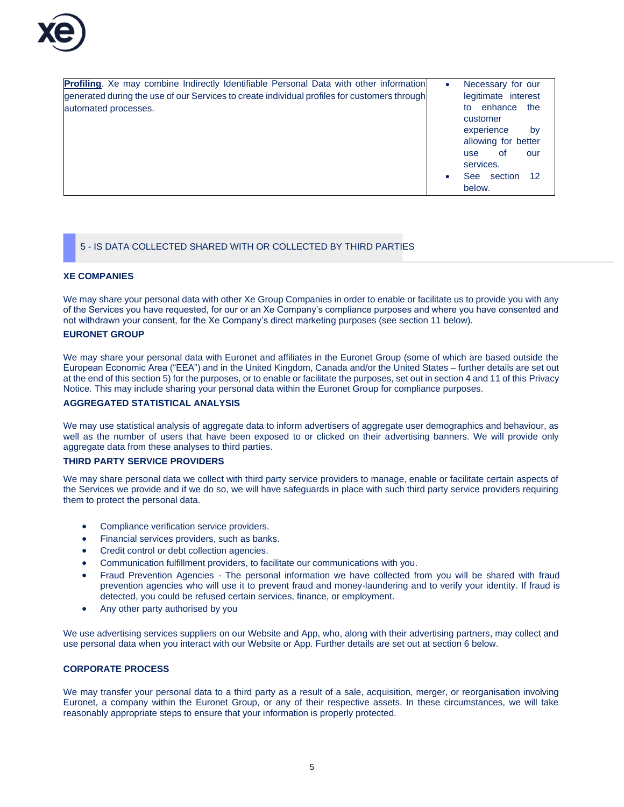

**Profiling**. Xe may combine Indirectly Identifiable Personal Data with other information generated during the use of our Services to create individual profiles for customers through automated processes. • Necessary for our legitimate interest to enhance the customer experience by allowing for better use of our services. See section 12 below.

## 5 - IS DATA COLLECTED SHARED WITH OR COLLECTED BY THIRD PARTIES

### **XE COMPANIES**

We may share your personal data with other Xe Group Companies in order to enable or facilitate us to provide you with any of the Services you have requested, for our or an Xe Company's compliance purposes and where you have consented and not withdrawn your consent, for the Xe Company's direct marketing purposes (see section 11 below).

## **EURONET GROUP**

We may share your personal data with Euronet and affiliates in the Euronet Group (some of which are based outside the European Economic Area ("EEA") and in the United Kingdom, Canada and/or the United States – further details are set out at the end of this section 5) for the purposes, or to enable or facilitate the purposes, set out in section 4 and 11 of this Privacy Notice. This may include sharing your personal data within the Euronet Group for compliance purposes.

# **AGGREGATED STATISTICAL ANALYSIS**

We may use statistical analysis of aggregate data to inform advertisers of aggregate user demographics and behaviour, as well as the number of users that have been exposed to or clicked on their advertising banners. We will provide only aggregate data from these analyses to third parties.

## **THIRD PARTY SERVICE PROVIDERS**

We may share personal data we collect with third party service providers to manage, enable or facilitate certain aspects of the Services we provide and if we do so, we will have safeguards in place with such third party service providers requiring them to protect the personal data.

- Compliance verification service providers.
- Financial services providers, such as banks.
- Credit control or debt collection agencies.
- Communication fulfillment providers, to facilitate our communications with you.
- Fraud Prevention Agencies The personal information we have collected from you will be shared with fraud prevention agencies who will use it to prevent fraud and money-laundering and to verify your identity. If fraud is detected, you could be refused certain services, finance, or employment.
- Any other party authorised by you

We use advertising services suppliers on our Website and App, who, along with their advertising partners, may collect and use personal data when you interact with our Website or App. Further details are set out at section 6 below.

## **CORPORATE PROCESS**

We may transfer your personal data to a third party as a result of a sale, acquisition, merger, or reorganisation involving Euronet, a company within the Euronet Group, or any of their respective assets. In these circumstances, we will take reasonably appropriate steps to ensure that your information is properly protected.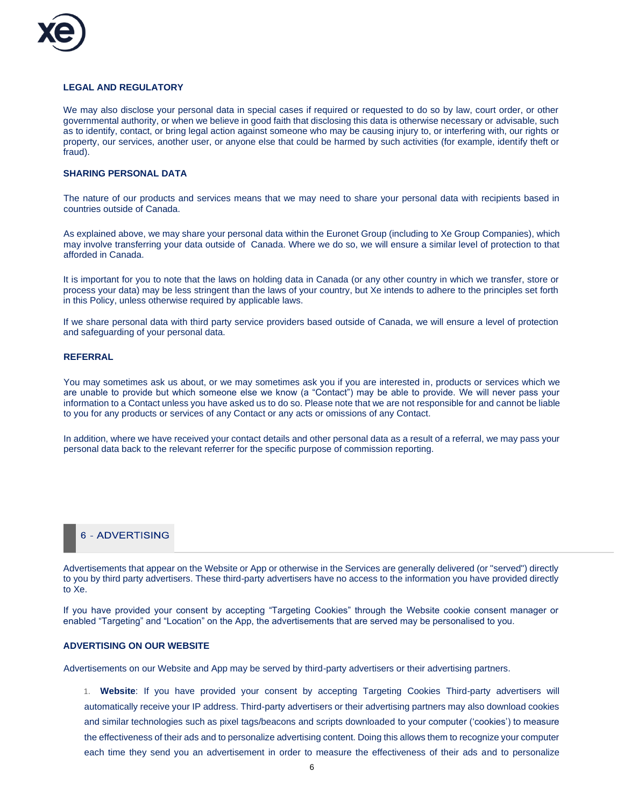

### **LEGAL AND REGULATORY**

We may also disclose your personal data in special cases if required or requested to do so by law, court order, or other governmental authority, or when we believe in good faith that disclosing this data is otherwise necessary or advisable, such as to identify, contact, or bring legal action against someone who may be causing injury to, or interfering with, our rights or property, our services, another user, or anyone else that could be harmed by such activities (for example, identify theft or fraud).

### **SHARING PERSONAL DATA**

The nature of our products and services means that we may need to share your personal data with recipients based in countries outside of Canada.

As explained above, we may share your personal data within the Euronet Group (including to Xe Group Companies), which may involve transferring your data outside of Canada. Where we do so, we will ensure a similar level of protection to that afforded in Canada.

It is important for you to note that the laws on holding data in Canada (or any other country in which we transfer, store or process your data) may be less stringent than the laws of your country, but Xe intends to adhere to the principles set forth in this Policy, unless otherwise required by applicable laws.

If we share personal data with third party service providers based outside of Canada, we will ensure a level of protection and safeguarding of your personal data.

#### **REFERRAL**

You may sometimes ask us about, or we may sometimes ask you if you are interested in, products or services which we are unable to provide but which someone else we know (a "Contact") may be able to provide. We will never pass your information to a Contact unless you have asked us to do so. Please note that we are not responsible for and cannot be liable to you for any products or services of any Contact or any acts or omissions of any Contact.

In addition, where we have received your contact details and other personal data as a result of a referral, we may pass your personal data back to the relevant referrer for the specific purpose of commission reporting.

# **6 - ADVERTISING**

Advertisements that appear on the Website or App or otherwise in the Services are generally delivered (or "served") directly to you by third party advertisers. These third-party advertisers have no access to the information you have provided directly to Xe.

If you have provided your consent by accepting "Targeting Cookies" through the Website cookie consent manager or enabled "Targeting" and "Location" on the App, the advertisements that are served may be personalised to you.

#### **ADVERTISING ON OUR WEBSITE**

Advertisements on our Website and App may be served by third-party advertisers or their advertising partners.

1. **Website**: If you have provided your consent by accepting Targeting Cookies Third-party advertisers will automatically receive your IP address. Third-party advertisers or their advertising partners may also download cookies and similar technologies such as pixel tags/beacons and scripts downloaded to your computer ('cookies') to measure the effectiveness of their ads and to personalize advertising content. Doing this allows them to recognize your computer each time they send you an advertisement in order to measure the effectiveness of their ads and to personalize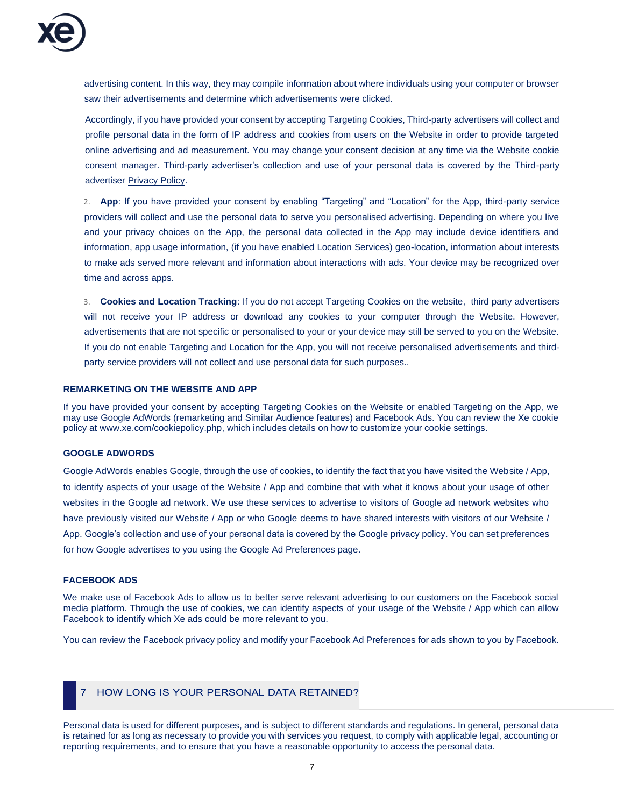advertising content. In this way, they may compile information about where individuals using your computer or browser saw their advertisements and determine which advertisements were clicked.

Accordingly, if you have provided your consent by accepting Targeting Cookies, Third-party advertisers will collect and profile personal data in the form of IP address and cookies from users on the Website in order to provide targeted online advertising and ad measurement. You may change your consent decision at any time via the Website cookie consent manager. Third-party advertiser's collection and use of your personal data is covered by the Third-party advertiser [Privacy Policy.](http://exponential.com/privacy/)

2. **App**: If you have provided your consent by enabling "Targeting" and "Location" for the App, third-party service providers will collect and use the personal data to serve you personalised advertising. Depending on where you live and your privacy choices on the App, the personal data collected in the App may include device identifiers and information, app usage information, (if you have enabled Location Services) geo-location, information about interests to make ads served more relevant and information about interactions with ads. Your device may be recognized over time and across apps.

3. **Cookies and Location Tracking**: If you do not accept Targeting Cookies on the website, third party advertisers will not receive your IP address or download any cookies to your computer through the Website. However, advertisements that are not specific or personalised to your or your device may still be served to you on the Website. If you do not enable Targeting and Location for the App, you will not receive personalised advertisements and thirdparty service providers will not collect and use personal data for such purposes..

### **REMARKETING ON THE WEBSITE AND APP**

If you have provided your consent by accepting Targeting Cookies on the Website or enabled Targeting on the App, we may use Google AdWords (remarketing and Similar Audience features) and Facebook Ads. You can review the Xe cookie policy a[t www.xe.com/cookiepolicy.php,](http://www.xe.com/cookiepolicy.php) which includes details on how to customize your cookie settings.

### **GOOGLE ADWORDS**

Google AdWords enables Google, through the use of cookies, to identify the fact that you have visited the Website / App, to identify aspects of your usage of the Website / App and combine that with what it knows about your usage of other websites in the Google ad network. We use these services to advertise to visitors of Google ad network websites who have previously visited our Website / App or who Google deems to have shared interests with visitors of our Website / [App. Google's collection and use of your personal data is covered by the Google privacy policy. You can set preferences](http://www.google.com/privacy.html)  [for how Google advertises to you using the](http://www.google.com/privacy.html) [Google Ad Preferences page](http://www.google.com/settings/ads)[.](http://www.google.com/privacy.html)

### **FACEBOOK ADS**

We make use of Facebook Ads to allow us to better serve relevant advertising to our customers on the Facebook social media platform. Through the use of cookies, we can identify aspects of your usage of the Website / App which can allow Facebook to identify which Xe ads could be more relevant to you.

You can review th[e Facebook privacy policy](https://www.facebook.com/privacy/explanation) and modify you[r Facebook Ad Preferences](https://www.facebook.com/ads/preferences) for ads shown to you by Facebook.

# 7 - HOW LONG IS YOUR PERSONAL DATA RETAINED?

Personal data is used for different purposes, and is subject to different standards and regulations. In general, personal data is retained for as long as necessary to provide you with services you request, to comply with applicable legal, accounting or reporting requirements, and to ensure that you have a reasonable opportunity to access the personal data.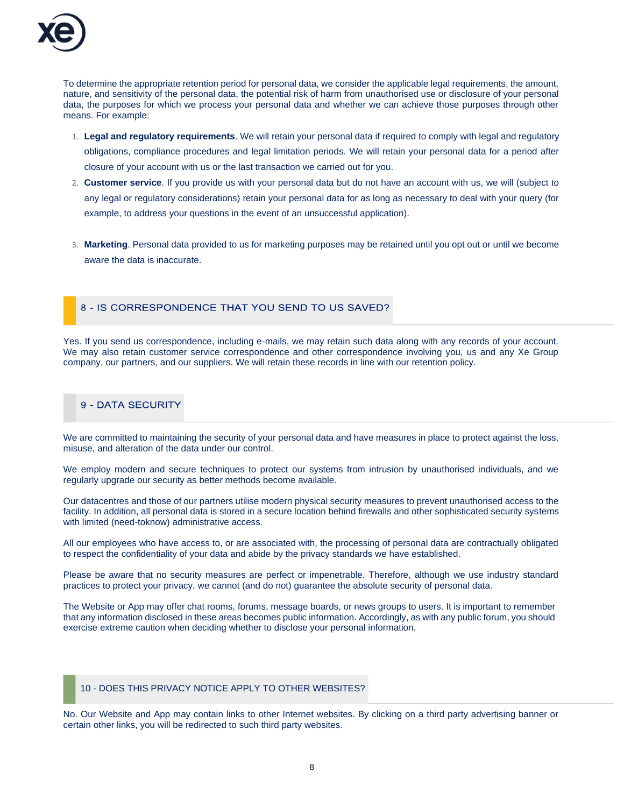

To determine the appropriate retention period for personal data, we consider the applicable legal requirements, the amount, nature, and sensitivity of the personal data, the potential risk of harm from unauthorised use or disclosure of your personal data, the purposes for which we process your personal data and whether we can achieve those purposes through other means. For example:

- 1. **Legal and regulatory requirements**. We will retain your personal data if required to comply with legal and regulatory obligations, compliance procedures and legal limitation periods. We will retain your personal data for a period after closure of your account with us or the last transaction we carried out for you.
- 2. **Customer service**. If you provide us with your personal data but do not have an account with us, we will (subject to any legal or regulatory considerations) retain your personal data for as long as necessary to deal with your query (for example, to address your questions in the event of an unsuccessful application).
- 3. **Marketing**. Personal data provided to us for marketing purposes may be retained until you opt out or until we become aware the data is inaccurate.

### 8 - IS CORRESPONDENCE THAT YOU SEND TO US SAVED?

Yes. If you send us correspondence, including e-mails, we may retain such data along with any records of your account. We may also retain customer service correspondence and other correspondence involving you, us and any Xe Group company, our partners, and our suppliers. We will retain these records in line with our retention policy.

# 9 - DATA SECURITY

We are committed to maintaining the security of your personal data and have measures in place to protect against the loss, misuse, and alteration of the data under our control.

We employ modern and secure techniques to protect our systems from intrusion by unauthorised individuals, and we regularly upgrade our security as better methods become available.

Our datacentres and those of our partners utilise modern physical security measures to prevent unauthorised access to the facility. In addition, all personal data is stored in a secure location behind firewalls and other sophisticated security systems with limited (need-toknow) administrative access.

All our employees who have access to, or are associated with, the processing of personal data are contractually obligated to respect the confidentiality of your data and abide by the privacy standards we have established.

Please be aware that no security measures are perfect or impenetrable. Therefore, although we use industry standard practices to protect your privacy, we cannot (and do not) guarantee the absolute security of personal data.

The Website or App may offer chat rooms, forums, message boards, or news groups to users. It is important to remember that any information disclosed in these areas becomes public information. Accordingly, as with any public forum, you should exercise extreme caution when deciding whether to disclose your personal information.

### 10 - DOES THIS PRIVACY NOTICE APPLY TO OTHER WEBSITES?

No. Our Website and App may contain links to other Internet websites. By clicking on a third party advertising banner or certain other links, you will be redirected to such third party websites.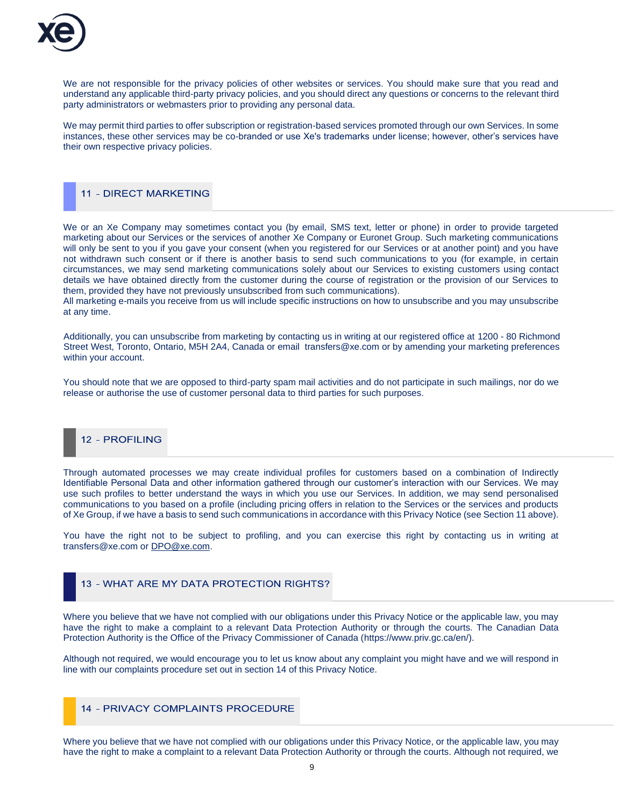

We are not responsible for the privacy policies of other websites or services. You should make sure that you read and understand any applicable third-party privacy policies, and you should direct any questions or concerns to the relevant third party administrators or webmasters prior to providing any personal data.

We may permit third parties to offer subscription or registration-based services promoted through our own Services. In some instances, these other services may be co-branded or use Xe's trademarks under license; however, other's services have their own respective privacy policies.

## **11 - DIRECT MARKETING**

We or an Xe Company may sometimes contact you (by email, SMS text, letter or phone) in order to provide targeted marketing about our Services or the services of another Xe Company or Euronet Group. Such marketing communications will only be sent to you if you gave your consent (when you registered for our Services or at another point) and you have not withdrawn such consent or if there is another basis to send such communications to you (for example, in certain circumstances, we may send marketing communications solely about our Services to existing customers using contact details we have obtained directly from the customer during the course of registration or the provision of our Services to them, provided they have not previously unsubscribed from such communications).

All marketing e-mails you receive from us will include specific instructions on how to unsubscribe and you may unsubscribe at any time.

Additionally, you can unsubscribe from marketing by contacting us in writing at our registered office at 1200 - 80 Richmond Street West, Toronto, Ontario, M5H 2A4, Canada or email transfers@xe.com or by amending your marketing preferences within your account.

You should note that we are opposed to third-party spam mail activities and do not participate in such mailings, nor do we release or authorise the use of customer personal data to third parties for such purposes.

# 12 - PROFILING

Through automated processes we may create individual profiles for customers based on a combination of Indirectly Identifiable Personal Data and other information gathered through our customer's interaction with our Services. We may use such profiles to better understand the ways in which you use our Services. In addition, we may send personalised communications to you based on a profile (including pricing offers in relation to the Services or the services and products of Xe Group, if we have a basis to send such communications in accordance with this Privacy Notice (see Section 11 above).

You have the right not to be subject to profiling, and you can exercise this right by contacting us in writing at transfers@xe.com or [DPO@xe.com.](mailto:DPO@xe.com)

# 13 - WHAT ARE MY DATA PROTECTION RIGHTS?

Where you believe that we have not complied with our obligations under this Privacy Notice or the applicable law, you may have the right to make a complaint to a relevant Data Protection Authority or through the courts. The Canadian Data Protection Authority is the Office of the Privacy Commissioner of Canada [\(https://www.priv.gc.ca/en/\)](https://www.priv.gc.ca/en/).

Although not required, we would encourage you to let us know about any complaint you might have and we will respond in line with our complaints procedure set out in section 14 of this Privacy Notice.

## **14 - PRIVACY COMPLAINTS PROCEDURE**

Where you believe that we have not complied with our obligations under this Privacy Notice, or the applicable law, you may have the right to make a complaint to a relevant Data Protection Authority or through the courts. Although not required, we